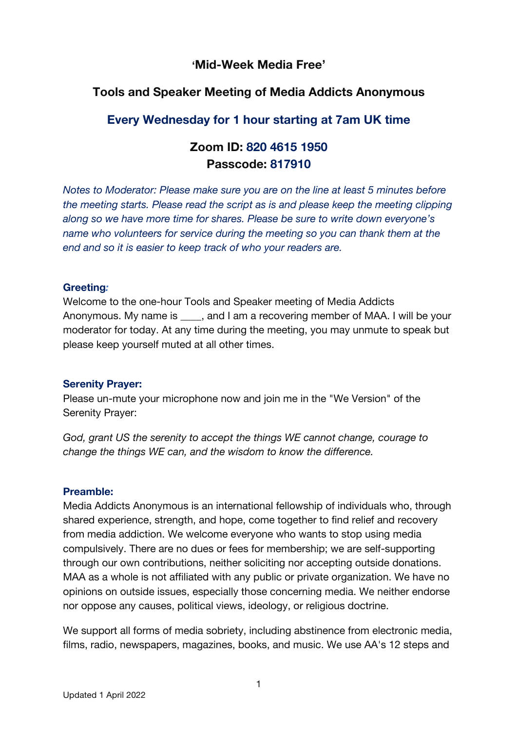## **'Mid-Week Media Free'**

## **Tools and Speaker Meeting of Media Addicts Anonymous**

## **Every Wednesday for 1 hour starting at 7am UK time**

# **Zoom ID: 820 4615 1950 Passcode: 817910**

*Notes to Moderator: Please make sure you are on the line at least 5 minutes before the meeting starts. Please read the script as is and please keep the meeting clipping along so we have more time for shares. Please be sure to write down everyone's name who volunteers for service during the meeting so you can thank them at the end and so it is easier to keep track of who your readers are.*

#### **Greeting***:*

Welcome to the one-hour Tools and Speaker meeting of Media Addicts Anonymous. My name is early and I am a recovering member of MAA. I will be your moderator for today. At any time during the meeting, you may unmute to speak but please keep yourself muted at all other times.

#### **Serenity Prayer:**

Please un-mute your microphone now and join me in the "We Version" of the Serenity Prayer:

*God, grant US the serenity to accept the things WE cannot change, courage to change the things WE can, and the wisdom to know the difference.*

## **Preamble:**

Media Addicts Anonymous is an international fellowship of individuals who, through shared experience, strength, and hope, come together to find relief and recovery from media addiction. We welcome everyone who wants to stop using media compulsively. There are no dues or fees for membership; we are self-supporting through our own contributions, neither soliciting nor accepting outside donations. MAA as a whole is not affiliated with any public or private organization. We have no opinions on outside issues, especially those concerning media. We neither endorse nor oppose any causes, political views, ideology, or religious doctrine.

We support all forms of media sobriety, including abstinence from electronic media, films, radio, newspapers, magazines, books, and music. We use AA's 12 steps and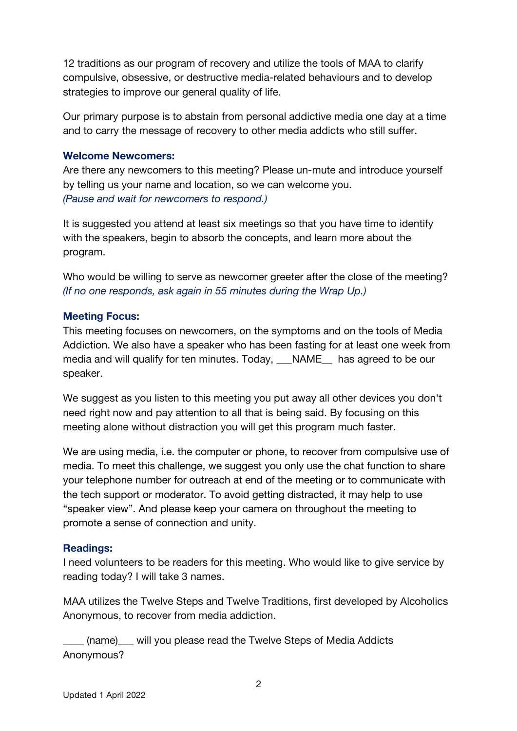12 traditions as our program of recovery and utilize the tools of MAA to clarify compulsive, obsessive, or destructive media-related behaviours and to develop strategies to improve our general quality of life.

Our primary purpose is to abstain from personal addictive media one day at a time and to carry the message of recovery to other media addicts who still suffer.

#### **Welcome Newcomers:**

Are there any newcomers to this meeting? Please un-mute and introduce yourself by telling us your name and location, so we can welcome you. *(Pause and wait for newcomers to respond.)*

It is suggested you attend at least six meetings so that you have time to identify with the speakers, begin to absorb the concepts, and learn more about the program.

Who would be willing to serve as newcomer greeter after the close of the meeting? *(If no one responds, ask again in 55 minutes during the Wrap Up.)*

### **Meeting Focus:**

This meeting focuses on newcomers, on the symptoms and on the tools of Media Addiction. We also have a speaker who has been fasting for at least one week from media and will qualify for ten minutes. Today, NAME has agreed to be our speaker.

We suggest as you listen to this meeting you put away all other devices you don't need right now and pay attention to all that is being said. By focusing on this meeting alone without distraction you will get this program much faster.

We are using media, i.e. the computer or phone, to recover from compulsive use of media. To meet this challenge, we suggest you only use the chat function to share your telephone number for outreach at end of the meeting or to communicate with the tech support or moderator. To avoid getting distracted, it may help to use "speaker view". And please keep your camera on throughout the meeting to promote a sense of connection and unity.

## **Readings:**

I need volunteers to be readers for this meeting. Who would like to give service by reading today? I will take 3 names.

MAA utilizes the Twelve Steps and Twelve Traditions, first developed by Alcoholics Anonymous, to recover from media addiction.

(name) will you please read the Twelve Steps of Media Addicts Anonymous?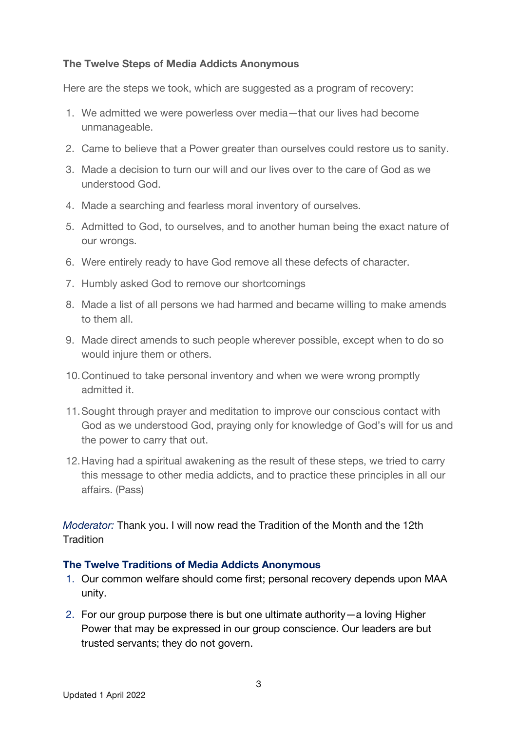### **The Twelve Steps of Media Addicts Anonymous**

Here are the steps we took, which are suggested as a program of recovery:

- 1. We admitted we were powerless over media—that our lives had become unmanageable.
- 2. Came to believe that a Power greater than ourselves could restore us to sanity.
- 3. Made a decision to turn our will and our lives over to the care of God as we understood God.
- 4. Made a searching and fearless moral inventory of ourselves.
- 5. Admitted to God, to ourselves, and to another human being the exact nature of our wrongs.
- 6. Were entirely ready to have God remove all these defects of character.
- 7. Humbly asked God to remove our shortcomings
- 8. Made a list of all persons we had harmed and became willing to make amends to them all.
- 9. Made direct amends to such people wherever possible, except when to do so would injure them or others.
- 10.Continued to take personal inventory and when we were wrong promptly admitted it.
- 11.Sought through prayer and meditation to improve our conscious contact with God as we understood God, praying only for knowledge of God's will for us and the power to carry that out.
- 12.Having had a spiritual awakening as the result of these steps, we tried to carry this message to other media addicts, and to practice these principles in all our affairs. (Pass)

*Moderator:* Thank you. I will now read the Tradition of the Month and the 12th **Tradition** 

#### **The Twelve Traditions of Media Addicts Anonymous**

- 1. Our common welfare should come first; personal recovery depends upon MAA unity.
- 2. For our group purpose there is but one ultimate authority—a loving Higher Power that may be expressed in our group conscience. Our leaders are but trusted servants; they do not govern.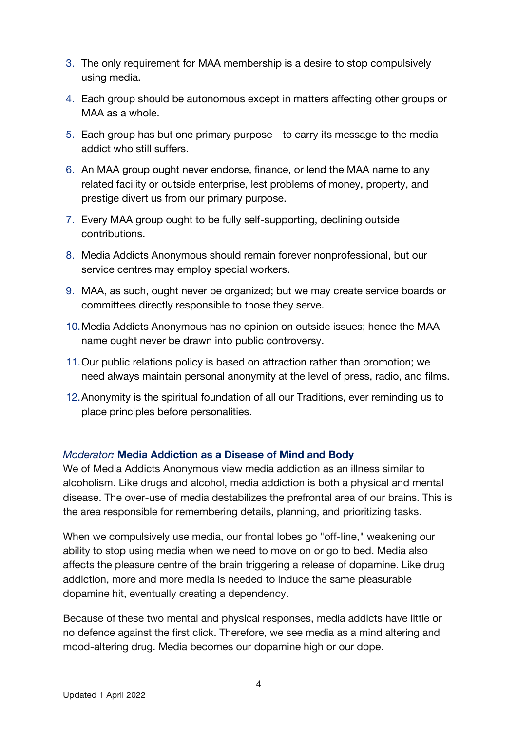- 3. The only requirement for MAA membership is a desire to stop compulsively using media.
- 4. Each group should be autonomous except in matters affecting other groups or MAA as a whole.
- 5. Each group has but one primary purpose—to carry its message to the media addict who still suffers.
- 6. An MAA group ought never endorse, finance, or lend the MAA name to any related facility or outside enterprise, lest problems of money, property, and prestige divert us from our primary purpose.
- 7. Every MAA group ought to be fully self-supporting, declining outside contributions.
- 8. Media Addicts Anonymous should remain forever nonprofessional, but our service centres may employ special workers.
- 9. MAA, as such, ought never be organized; but we may create service boards or committees directly responsible to those they serve.
- 10.Media Addicts Anonymous has no opinion on outside issues; hence the MAA name ought never be drawn into public controversy.
- 11.Our public relations policy is based on attraction rather than promotion; we need always maintain personal anonymity at the level of press, radio, and films.
- 12.Anonymity is the spiritual foundation of all our Traditions, ever reminding us to place principles before personalities.

## *Moderator:* **Media Addiction as a Disease of Mind and Body**

We of Media Addicts Anonymous view media addiction as an illness similar to alcoholism. Like drugs and alcohol, media addiction is both a physical and mental disease. The over-use of media destabilizes the prefrontal area of our brains. This is the area responsible for remembering details, planning, and prioritizing tasks.

When we compulsively use media, our frontal lobes go "off-line," weakening our ability to stop using media when we need to move on or go to bed. Media also affects the pleasure centre of the brain triggering a release of dopamine. Like drug addiction, more and more media is needed to induce the same pleasurable dopamine hit, eventually creating a dependency.

Because of these two mental and physical responses, media addicts have little or no defence against the first click. Therefore, we see media as a mind altering and mood-altering drug. Media becomes our dopamine high or our dope.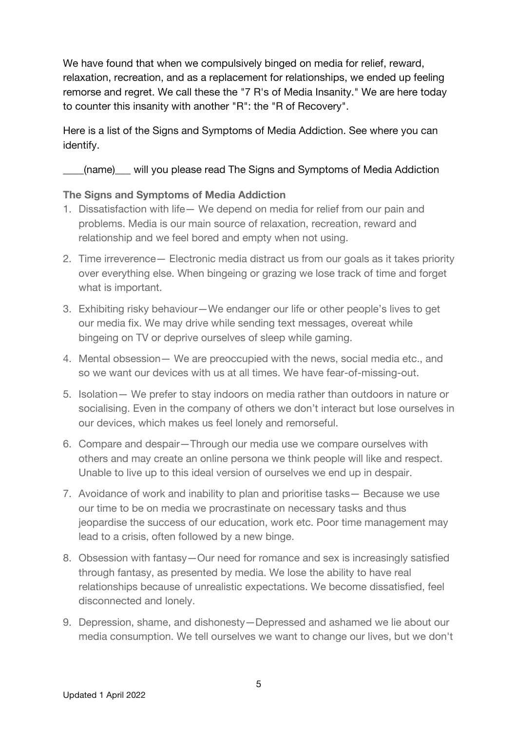We have found that when we compulsively binged on media for relief, reward, relaxation, recreation, and as a replacement for relationships, we ended up feeling remorse and regret. We call these the "7 R's of Media Insanity." We are here today to counter this insanity with another "R": the "R of Recovery".

Here is a list of the Signs and Symptoms of Media Addiction. See where you can identify.

(name) will you please read The Signs and Symptoms of Media Addiction

## **The Signs and Symptoms of Media Addiction**

- 1. Dissatisfaction with life— We depend on media for relief from our pain and problems. Media is our main source of relaxation, recreation, reward and relationship and we feel bored and empty when not using.
- 2. Time irreverence— Electronic media distract us from our goals as it takes priority over everything else. When bingeing or grazing we lose track of time and forget what is important.
- 3. Exhibiting risky behaviour—We endanger our life or other people's lives to get our media fix. We may drive while sending text messages, overeat while bingeing on TV or deprive ourselves of sleep while gaming.
- 4. Mental obsession— We are preoccupied with the news, social media etc., and so we want our devices with us at all times. We have fear-of-missing-out.
- 5. Isolation— We prefer to stay indoors on media rather than outdoors in nature or socialising. Even in the company of others we don't interact but lose ourselves in our devices, which makes us feel lonely and remorseful.
- 6. Compare and despair—Through our media use we compare ourselves with others and may create an online persona we think people will like and respect. Unable to live up to this ideal version of ourselves we end up in despair.
- 7. Avoidance of work and inability to plan and prioritise tasks— Because we use our time to be on media we procrastinate on necessary tasks and thus jeopardise the success of our education, work etc. Poor time management may lead to a crisis, often followed by a new binge.
- 8. Obsession with fantasy—Our need for romance and sex is increasingly satisfied through fantasy, as presented by media. We lose the ability to have real relationships because of unrealistic expectations. We become dissatisfied, feel disconnected and lonely.
- 9. Depression, shame, and dishonesty—Depressed and ashamed we lie about our media consumption. We tell ourselves we want to change our lives, but we don't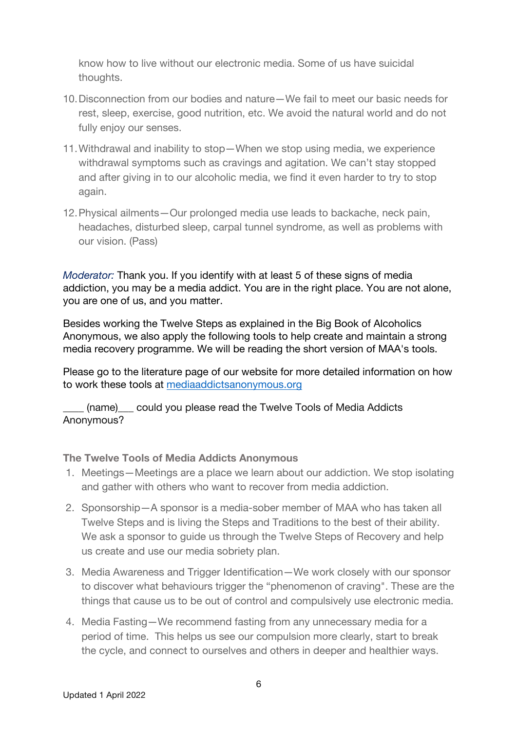know how to live without our electronic media. Some of us have suicidal thoughts.

- 10.Disconnection from our bodies and nature—We fail to meet our basic needs for rest, sleep, exercise, good nutrition, etc. We avoid the natural world and do not fully enjoy our senses.
- 11.Withdrawal and inability to stop—When we stop using media, we experience withdrawal symptoms such as cravings and agitation. We can't stay stopped and after giving in to our alcoholic media, we find it even harder to try to stop again.
- 12.Physical ailments—Our prolonged media use leads to backache, neck pain, headaches, disturbed sleep, carpal tunnel syndrome, as well as problems with our vision. (Pass)

*Moderator:* Thank you. If you identify with at least 5 of these signs of media addiction, you may be a media addict. You are in the right place. You are not alone, you are one of us, and you matter.

Besides working the Twelve Steps as explained in the Big Book of Alcoholics Anonymous, we also apply the following tools to help create and maintain a strong media recovery programme. We will be reading the short version of MAA's tools.

Please go to the literature page of our website for more detailed information on how to work these tools at mediaaddictsanonymous.org

\_\_\_\_ (name)\_\_\_ could you please read the Twelve Tools of Media Addicts Anonymous?

#### **The Twelve Tools of Media Addicts Anonymous**

- 1. Meetings—Meetings are a place we learn about our addiction. We stop isolating and gather with others who want to recover from media addiction.
- 2. Sponsorship—A sponsor is a media-sober member of MAA who has taken all Twelve Steps and is living the Steps and Traditions to the best of their ability. We ask a sponsor to guide us through the Twelve Steps of Recovery and help us create and use our media sobriety plan.
- 3. Media Awareness and Trigger Identification—We work closely with our sponsor to discover what behaviours trigger the "phenomenon of craving". These are the things that cause us to be out of control and compulsively use electronic media.
- 4. Media Fasting—We recommend fasting from any unnecessary media for a period of time. This helps us see our compulsion more clearly, start to break the cycle, and connect to ourselves and others in deeper and healthier ways.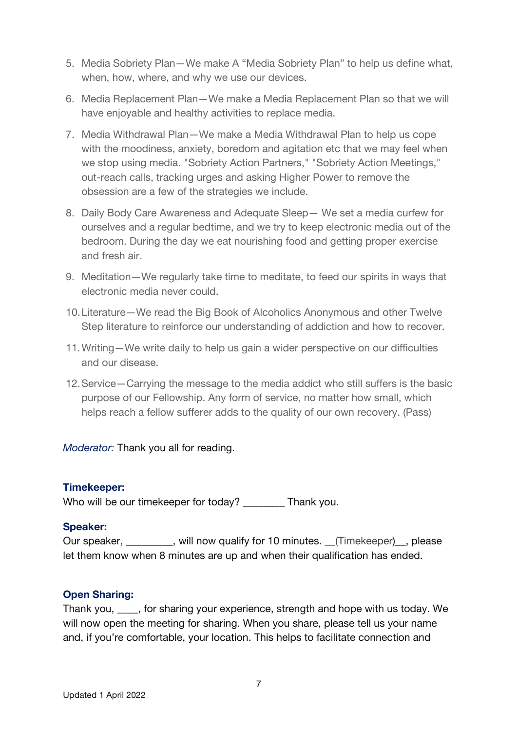- 5. Media Sobriety Plan—We make A "Media Sobriety Plan" to help us define what, when, how, where, and why we use our devices.
- 6. Media Replacement Plan—We make a Media Replacement Plan so that we will have enjoyable and healthy activities to replace media.
- 7. Media Withdrawal Plan—We make a Media Withdrawal Plan to help us cope with the moodiness, anxiety, boredom and agitation etc that we may feel when we stop using media. "Sobriety Action Partners," "Sobriety Action Meetings," out-reach calls, tracking urges and asking Higher Power to remove the obsession are a few of the strategies we include.
- 8. Daily Body Care Awareness and Adequate Sleep— We set a media curfew for ourselves and a regular bedtime, and we try to keep electronic media out of the bedroom. During the day we eat nourishing food and getting proper exercise and fresh air.
- 9. Meditation—We regularly take time to meditate, to feed our spirits in ways that electronic media never could.
- 10.Literature—We read the Big Book of Alcoholics Anonymous and other Twelve Step literature to reinforce our understanding of addiction and how to recover.
- 11.Writing—We write daily to help us gain a wider perspective on our difficulties and our disease.
- 12.Service—Carrying the message to the media addict who still suffers is the basic purpose of our Fellowship. Any form of service, no matter how small, which helps reach a fellow sufferer adds to the quality of our own recovery. (Pass)

*Moderator:* Thank you all for reading.

#### **Timekeeper:**

Who will be our timekeeper for today? Thank you.

## **Speaker:**

Our speaker, \_\_\_\_\_\_\_\_\_, will now qualify for 10 minutes. \_\_(Timekeeper)\_\_, please let them know when 8 minutes are up and when their qualification has ended.

## **Open Sharing:**

Thank you, \_\_\_\_, for sharing your experience, strength and hope with us today. We will now open the meeting for sharing. When you share, please tell us your name and, if you're comfortable, your location. This helps to facilitate connection and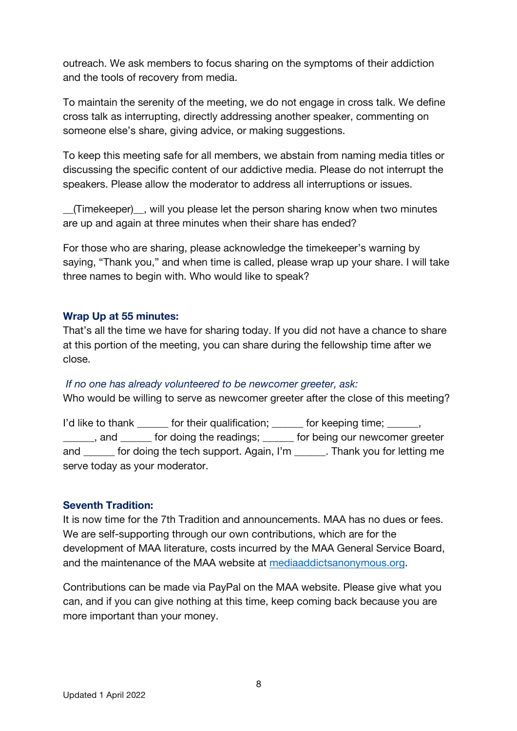outreach. We ask members to focus sharing on the symptoms of their addiction and the tools of recovery from media.

To maintain the serenity of the meeting, we do not engage in cross talk. We define cross talk as interrupting, directly addressing another speaker, commenting on someone else's share, giving advice, or making suggestions.

To keep this meeting safe for all members, we abstain from naming media titles or discussing the specific content of our addictive media. Please do not interrupt the speakers. Please allow the moderator to address all interruptions or issues.

\_\_(Timekeeper)\_\_, will you please let the person sharing know when two minutes are up and again at three minutes when their share has ended?

For those who are sharing, please acknowledge the timekeeper's warning by saying, "Thank you," and when time is called, please wrap up your share. I will take three names to begin with. Who would like to speak?

#### **Wrap Up at 55 minutes:**

That's all the time we have for sharing today. If you did not have a chance to share at this portion of the meeting, you can share during the fellowship time after we close.

#### *If no one has already volunteered to be newcomer greeter, ask:*

Who would be willing to serve as newcomer greeter after the close of this meeting?

I'd like to thank for their qualification; for keeping time;  $\frac{1}{2}$ , and for doing the readings; for being our newcomer greeter and for doing the tech support. Again, I'm Thank you for letting me serve today as your moderator.

#### **Seventh Tradition:**

It is now time for the 7th Tradition and announcements. MAA has no dues or fees. We are self-supporting through our own contributions, which are for the development of MAA literature, costs incurred by the MAA General Service Board, and the maintenance of the MAA website at mediaaddictsanonymous.org.

Contributions can be made via PayPal on the MAA website. Please give what you can, and if you can give nothing at this time, keep coming back because you are more important than your money.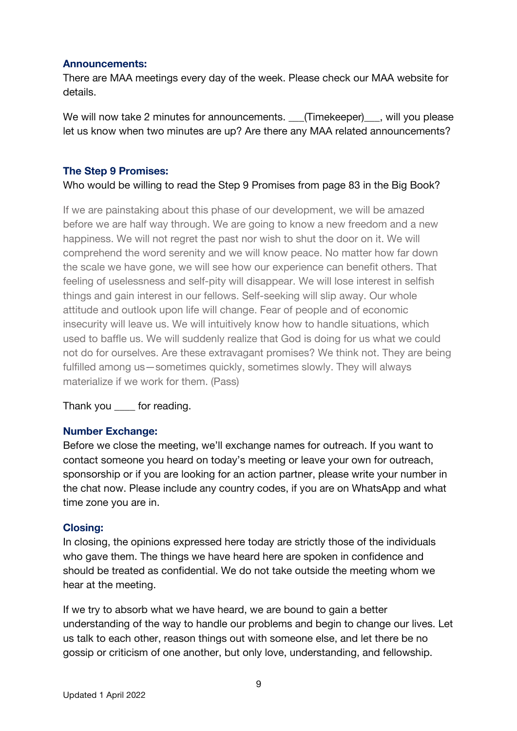#### **Announcements:**

There are MAA meetings every day of the week. Please check our MAA website for details.

We will now take 2 minutes for announcements. \_\_\_(Timekeeper)\_\_\_, will you please let us know when two minutes are up? Are there any MAA related announcements?

### **The Step 9 Promises:**

Who would be willing to read the Step 9 Promises from page 83 in the Big Book?

If we are painstaking about this phase of our development, we will be amazed before we are half way through. We are going to know a new freedom and a new happiness. We will not regret the past nor wish to shut the door on it. We will comprehend the word serenity and we will know peace. No matter how far down the scale we have gone, we will see how our experience can benefit others. That feeling of uselessness and self-pity will disappear. We will lose interest in selfish things and gain interest in our fellows. Self-seeking will slip away. Our whole attitude and outlook upon life will change. Fear of people and of economic insecurity will leave us. We will intuitively know how to handle situations, which used to baffle us. We will suddenly realize that God is doing for us what we could not do for ourselves. Are these extravagant promises? We think not. They are being fulfilled among us—sometimes quickly, sometimes slowly. They will always materialize if we work for them. (Pass)

Thank you for reading.

#### **Number Exchange:**

Before we close the meeting, we'll exchange names for outreach. If you want to contact someone you heard on today's meeting or leave your own for outreach, sponsorship or if you are looking for an action partner, please write your number in the chat now. Please include any country codes, if you are on WhatsApp and what time zone you are in.

#### **Closing:**

In closing, the opinions expressed here today are strictly those of the individuals who gave them. The things we have heard here are spoken in confidence and should be treated as confidential. We do not take outside the meeting whom we hear at the meeting.

If we try to absorb what we have heard, we are bound to gain a better understanding of the way to handle our problems and begin to change our lives. Let us talk to each other, reason things out with someone else, and let there be no gossip or criticism of one another, but only love, understanding, and fellowship.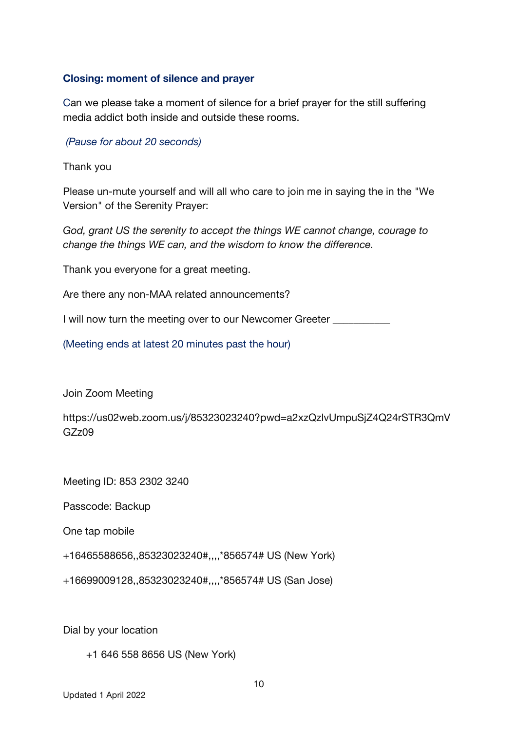#### **Closing: moment of silence and prayer**

Can we please take a moment of silence for a brief prayer for the still suffering media addict both inside and outside these rooms.

*(Pause for about 20 seconds)*

Thank you

Please un-mute yourself and will all who care to join me in saying the in the "We Version" of the Serenity Prayer:

*God, grant US the serenity to accept the things WE cannot change, courage to change the things WE can, and the wisdom to know the difference.*

Thank you everyone for a great meeting.

Are there any non-MAA related announcements?

I will now turn the meeting over to our Newcomer Greeter \_\_\_\_\_\_\_\_\_\_

(Meeting ends at latest 20 minutes past the hour)

Join Zoom Meeting

https://us02web.zoom.us/j/85323023240?pwd=a2xzQzlvUmpuSjZ4Q24rSTR3QmV GZz09

Meeting ID: 853 2302 3240

Passcode: Backup

One tap mobile

+16465588656,,85323023240#,,,,\*856574# US (New York)

+16699009128,,85323023240#,,,,\*856574# US (San Jose)

Dial by your location

+1 646 558 8656 US (New York)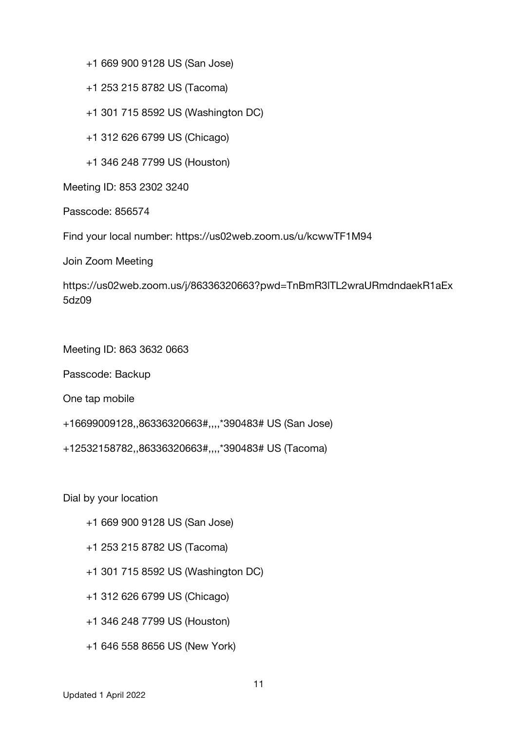+1 669 900 9128 US (San Jose)

+1 253 215 8782 US (Tacoma)

+1 301 715 8592 US (Washington DC)

+1 312 626 6799 US (Chicago)

+1 346 248 7799 US (Houston)

Meeting ID: 853 2302 3240

Passcode: 856574

Find your local number: https://us02web.zoom.us/u/kcwwTF1M94

Join Zoom Meeting

https://us02web.zoom.us/j/86336320663?pwd=TnBmR3lTL2wraURmdndaekR1aEx 5dz09

Meeting ID: 863 3632 0663

Passcode: Backup

One tap mobile

```
+16699009128,,86336320663#,,,,*390483# US (San Jose)
```
+12532158782,,86336320663#,,,,\*390483# US (Tacoma)

Dial by your location

+1 669 900 9128 US (San Jose)

- +1 253 215 8782 US (Tacoma)
- +1 301 715 8592 US (Washington DC)
- +1 312 626 6799 US (Chicago)
- +1 346 248 7799 US (Houston)
- +1 646 558 8656 US (New York)